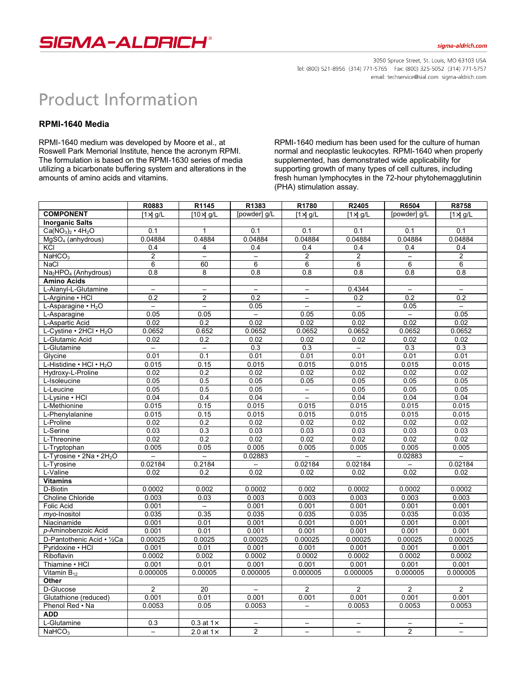

## sigma-aldrich.com

3050 Spruce Street, St. Louis, MO 63103 USA Tel: (800) 521-8956 (314) 771-5765 Fax: (800) 325-5052 (314) 771-5757 email: techservice@sial.com sigma-aldrich.com

## **Product Information**

## **RPMI-1640 Media**

RPMI-1640 medium was developed by Moore et al., at Roswell Park Memorial Institute, hence the acronym RPMI. The formulation is based on the RPMI-1630 series of media utilizing a bicarbonate buffering system and alterations in the amounts of amino acids and vitamins.

RPMI-1640 medium has been used for the culture of human normal and neoplastic leukocytes. RPMI-1640 when properly supplemented, has demonstrated wide applicability for supporting growth of many types of cell cultures, including fresh human lymphocytes in the 72-hour phytohemagglutinin (PHA) stimulation assay.

|                                              | R0883                    | R1145                    | R1383                    | R1780                    | R2405                    | R6504                    | R8758                    |
|----------------------------------------------|--------------------------|--------------------------|--------------------------|--------------------------|--------------------------|--------------------------|--------------------------|
| <b>COMPONENT</b>                             | $[1 \times] g/L$         | $[10\times]$ g/L         | [powder] g/L             | $[1 \times] g/L$         | $[1 \times] g/L$         | [powder] g/L             | $[1 \times] g/L$         |
| <b>Inorganic Salts</b>                       |                          |                          |                          |                          |                          |                          |                          |
| $Ca(NO3)2 \cdot 4H2O$                        | $\overline{0.1}$         | $\mathbf{1}$             | $\overline{0.1}$         | $\overline{0.1}$         | 0.1                      | $\overline{0.1}$         | $\overline{0.1}$         |
| MgSO <sub>4</sub> (anhydrous)                | 0.04884                  | 0.4884                   | 0.04884                  | 0.04884                  | 0.04884                  | 0.04884                  | 0.04884                  |
| KCI                                          | 0.4                      | 4                        | 0.4                      | 0.4                      | 0.4                      | 0.4                      | 0.4                      |
| NaHCO <sub>3</sub>                           | $\overline{2}$           | $\overline{\phantom{0}}$ | $\overline{\phantom{0}}$ | $\overline{2}$           | $\overline{2}$           | $\equiv$                 | $\overline{2}$           |
| <b>NaCl</b>                                  | $\overline{6}$           | 60                       | $\overline{6}$           | $\overline{6}$           | 6                        | 6                        | $\overline{6}$           |
| Na <sub>2</sub> HPO <sub>4</sub> (Anhydrous) | 0.8                      | 8                        | 0.8                      | 0.8                      | $\overline{0.8}$         | 0.8                      | 0.8                      |
| <b>Amino Acids</b>                           |                          |                          |                          |                          |                          |                          |                          |
| L-Alanyl-L-Glutamine                         | $\overline{\phantom{0}}$ | $\overline{\phantom{0}}$ | $\equiv$                 | $\qquad \qquad -$        | 0.4344                   | $\overline{\phantom{0}}$ | $\overline{\phantom{m}}$ |
| L-Arginine · HCI                             | $\overline{0.2}$         | $\overline{2}$           | $\overline{0.2}$         | $\overline{\phantom{0}}$ | 0.2                      | $\overline{0.2}$         | 0.2                      |
| L-Asparagine • H <sub>2</sub> O              | $\overline{\phantom{0}}$ | $\overline{\phantom{0}}$ | 0.05                     | $\overline{\phantom{0}}$ | $\overline{\phantom{0}}$ | 0.05                     | $\overline{\phantom{m}}$ |
| L-Asparagine                                 | 0.05                     | 0.05                     | $\overline{\phantom{0}}$ | 0.05                     | 0.05                     | $\equiv$                 | 0.05                     |
| L-Aspartic Acid                              | 0.02                     | $\overline{0.2}$         | 0.02                     | 0.02                     | 0.02                     | 0.02                     | 0.02                     |
| L-Cystine • 2HCl • H <sub>2</sub> O          | 0.0652                   | 0.652                    | 0.0652                   | 0.0652                   | 0.0652                   | 0.0652                   | 0.0652                   |
| L-Glutamic Acid                              | 0.02                     | 0.2                      | 0.02                     | 0.02                     | 0.02                     | 0.02                     | 0.02                     |
| L-Glutamine                                  | $\overline{\phantom{0}}$ | $\overline{\phantom{m}}$ | 0.3                      | 0.3                      | $-$                      | 0.3                      | 0.3                      |
| Glycine                                      | 0.01                     | 0.1                      | 0.01                     | 0.01                     | 0.01                     | 0.01                     | 0.01                     |
| L-Histidine . HCl . H <sub>2</sub> O         | 0.015                    | 0.15                     | 0.015                    | 0.015                    | 0.015                    | 0.015                    | 0.015                    |
| Hydroxy-L-Proline                            | 0.02                     | $\overline{0.2}$         | 0.02                     | 0.02                     | 0.02                     | 0.02                     | 0.02                     |
| L-Isoleucine                                 | 0.05                     | 0.5                      | 0.05                     | 0.05                     | 0.05                     | 0.05                     | 0.05                     |
| L-Leucine                                    | 0.05                     | 0.5                      | 0.05                     | $\overline{\phantom{0}}$ | 0.05                     | 0.05                     | 0.05                     |
| L-Lysine . HCI                               | 0.04                     | 0.4                      | 0.04                     | $\overline{a}$           | 0.04                     | 0.04                     | 0.04                     |
| L-Methionine                                 | 0.015                    | 0.15                     | 0.015                    | 0.015                    | 0.015                    | 0.015                    | 0.015                    |
| L-Phenylalanine                              | 0.015                    | 0.15                     | 0.015                    | 0.015                    | 0.015                    | 0.015                    | 0.015                    |
| L-Proline                                    | 0.02                     | 0.2                      | 0.02                     | 0.02                     | 0.02                     | 0.02                     | 0.02                     |
| L-Serine                                     | 0.03                     | 0.3                      | 0.03                     | 0.03                     | 0.03                     | 0.03                     | 0.03                     |
| L-Threonine                                  | 0.02                     | $\overline{0.2}$         | 0.02                     | 0.02                     | 0.02                     | 0.02                     | 0.02                     |
| L-Tryptophan                                 | 0.005                    | 0.05                     | 0.005                    | 0.005                    | 0.005                    | 0.005                    | 0.005                    |
| L-Tyrosine • 2Na • 2H <sub>2</sub> O         | $\overline{a}$           | $\overline{\phantom{0}}$ | 0.02883                  |                          | $\overline{\phantom{0}}$ | 0.02883                  | $\equiv$                 |
| L-Tyrosine                                   | 0.02184                  | 0.2184                   |                          | 0.02184                  | 0.02184                  |                          | 0.02184                  |
| L-Valine                                     | 0.02                     | 0.2                      | 0.02                     | 0.02                     | 0.02                     | 0.02                     | 0.02                     |
| <b>Vitamins</b>                              |                          |                          |                          |                          |                          |                          |                          |
| D-Biotin                                     | 0.0002                   | 0.002                    | 0.0002                   | 0.002                    | 0.0002                   | 0.0002                   | 0.0002                   |
| Choline Chloride                             | 0.003                    | 0.03                     | 0.003                    | 0.003                    | 0.003                    | 0.003                    | 0.003                    |
| <b>Folic Acid</b>                            | 0.001                    | $\overline{\phantom{0}}$ | 0.001                    | 0.001                    | 0.001                    | 0.001                    | 0.001                    |
| myo-Inositol                                 | 0.035                    | 0.35                     | 0.035                    | 0.035                    | 0.035                    | 0.035                    | 0.035                    |
| Niacinamide                                  | 0.001                    | 0.01                     | 0.001                    | 0.001                    | 0.001                    | 0.001                    | 0.001                    |
| p-Aminobenzoic Acid                          | 0.001                    | 0.01                     | 0.001                    | 0.001                    | 0.001                    | 0.001                    | 0.001                    |
| D-Pantothenic Acid • 1/2Ca                   | 0.00025                  | 0.0025                   | 0.00025                  | 0.00025                  | 0.00025                  | 0.00025                  | 0.00025                  |
| Pyridoxine • HCI                             | 0.001                    | 0.01                     | 0.001                    | 0.001                    | 0.001                    | 0.001                    | 0.001                    |
| Riboflavin                                   | 0.0002                   | 0.002                    | 0.0002                   | 0.0002                   | 0.0002                   | 0.0002                   | 0.0002                   |
| Thiamine • HCI                               | 0.001                    | 0.01                     | 0.001                    | 0.001                    | 0.001                    | 0.001                    | 0.001                    |
| Vitamin $B_{12}$                             | 0.000005                 | 0.00005                  | 0.000005                 | 0.000005                 | 0.000005                 | 0.000005                 | 0.000005                 |
| Other                                        |                          |                          |                          |                          |                          |                          |                          |
| D-Glucose                                    | $\overline{2}$           | 20                       | $\overline{\phantom{0}}$ | $\overline{2}$           | $\overline{2}$           | $\overline{2}$           | $\overline{2}$           |
| Glutathione (reduced)                        | 0.001                    | 0.01                     | 0.001                    | 0.001                    | 0.001                    | 0.001                    | 0.001                    |
| Phenol Red . Na                              | 0.0053                   | 0.05                     | 0.0053                   | $\qquad \qquad -$        | 0.0053                   | 0.0053                   | 0.0053                   |
| <b>ADD</b>                                   |                          |                          |                          |                          |                          |                          |                          |
| L-Glutamine                                  | 0.3                      | 0.3 at $1\times$         | $\overline{\phantom{0}}$ | $\qquad \qquad -$        | $\overline{\phantom{0}}$ | $\qquad \qquad -$        | $\overline{\phantom{a}}$ |
| $N$ aHCO <sub>3</sub>                        | $\overline{a}$           | 2.0 at $1\times$         | $\overline{2}$           |                          |                          | $\overline{2}$           |                          |